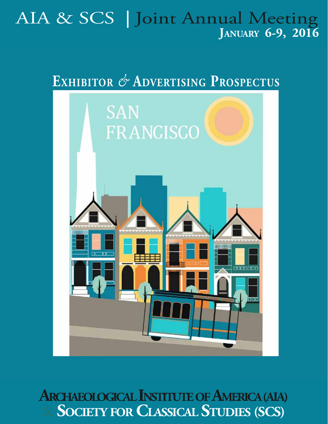# AIA & SCS **<sup>|</sup>** Joint Annual Meeting **January 6-9, 2016**

# **Exhibitor** *&* **Advertising Prospectus**



 $\&$  **Society for Classical Studies (SCS) ARCHAEOLOGICAL INSTITUTE OF AMERICA (AIA)**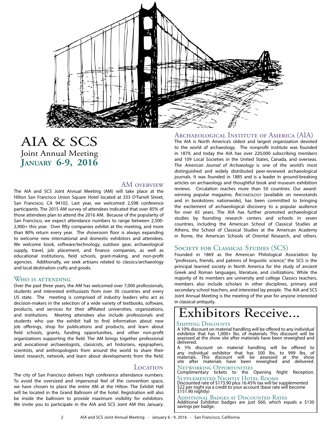

#### AIA & SCS Joint Annual Meeting **January 6-9, 2016**

#### AM overview

The AIA and SCS Joint Annual Meeting (AM) will take place at the Hilton San Francisco Union Square Hotel located at 333 O'Farrell Street, San Francisco, CA 94102. Last year, we welcomed 2,598 conference participants. The 2015 AM survey of attendees indicated that over 85% of those attendees plan to attend the 2016 AM. Because of the popularity of San Francisco, we expect attendance numbers to range between 2,500- 2,900+ this year. Over fifty companies exhibit at the meeting, and more than 80% return every year. The showroom floor is always expanding to welcome new international and domestic exhibitors and attendees. We welcome book, software/technology, outdoor gear, archaeological supply, travel, job placement, and finance companies, as well as educational institutions, field schools, grant-making, and non-profit agencies. Additionally, we seek artisans related to classics/archaeology and local destination crafts and goods.

#### Who is attending

Over the past three years, the AM has welcomed over 7,000 professionals, students and interested enthusiasts from over 30 countries and every US state. The meeting is comprised of industry leaders who act as decision-makers in the selection of a wide variety of textbooks, software, products, and services for their affiliated universities, organizations, and institutions. Meeting attendees also include professionals and students who use the exhibit hall to find information about new job offerings, shop for publications and products, and learn about field schools, grants, funding opportunities, and other non-profit organizations supporting the field. The AM brings together professional and avocational archaeologists, classicists, art historians, epigraphers, scientists, and anthropologists from around the world to share their latest research, network, and learn about developments from the field.

#### **LOCATION**

The city of San Francisco delivers high conference attendance numbers. To avoid the oversized and impersonal feel of the convention space, we have chosen to place the entire AM at the Hilton. The Exhibit Hall will be located in the Grand Ballroom of the hotel. Registration will also be inside the ballroom to provide maximum visibility for exhibitors. We invite you to participate in the AIA and SCS Joint AM this January.

#### Archaeological Institute of America (AIA)

The AIA is North America's oldest and largest organization devoted to the world of archaeology. The nonprofit institute was founded in 1879, and today the AIA has over 220,000 subscribing members and 109 Local Societies in the United States, Canada, and overseas. The *American Journal of Archaeology* is one of the world's most distinguished and widely distributed peer-reviewed archaeological journals. It was founded in 1885 and is a leader in ground-breaking articles on archaeology and thoughtful book and museum exhibition reviews. Circulation reaches more than 50 countries. Our awardwinning popular magazine, Archaeology (available on newsstands and in bookstores nationwide), has been committed to bringing the excitement of archaeological discovery to a popular audience for over 65 years. The AIA has further promoted archaeological studies by founding research centers and schools in seven countries, including the American School of Classical Studies at Athens, the School of Classical Studies at the American Academy in Rome, the American Schools of Oriental Research, and others.

#### Society for Classical Studies (SCS)

Founded in 1869 as the American Philological Association by "professors, friends, and patrons of linguistic science," the SCS is the principal learned society in North America for the study of ancient Greek and Roman languages, literature, and civilizations. While the majority of its members are university and college Classics teachers, members also include scholars in other disciplines, primary and secondary school teachers, and interested lay people. The AIA and SCS Joint Annual Meeting is the meeting of the year for anyone interested in classical antiquity.

# Exhibitors Receive...

A 10% discount on material handling will be offered to any individual exhibitor that has 1,000+ lbs. of materials. This discount will be assessed at the show site after materials have been reweighed and delivered.

A 5% discount on material handling will be offered to any individual exhibitor that has 500 lbs. to 999 lbs. of materials. This discount will be assessed at the show site after materials have been reweighed and delivered.

Networking Opportunities

Complimentary tickets to the Opening Night Reception. Supplemented Nightly Hotel Rooms

Discounted rate of \$173.90 plus 16.45% tax will be supplemented \$22 per night via a credit to your account (base rate will become \$151.90 nightly)

Additional Badges at Discounted Rates Additional Exhibitor badges are just \$60, which equals a \$130 savings per badge.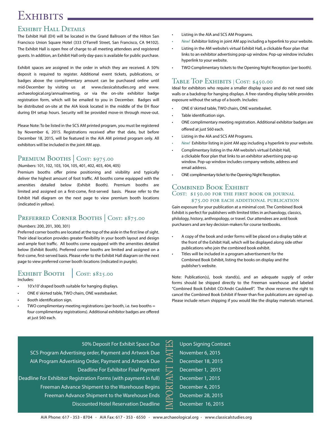## EXHIBITS.

#### Exhibit Hall Details

The Exhibit Hall (EH) will be located in the Grand Ballroom of the Hilton San Francisco Union Square Hotel (333 O'Farrell Street, San Francisco, CA 94102). The Exhibit Hall is open free of charge to all meeting attendees and registered guests. In addition, an Exhibit Hall only day-pass is available for public purchase.

Exhibit spaces are assigned in the order in which they are received. A 50% deposit is required to register. Additional event tickets, publications, or badges above the complimentary amount can be purchased online until mid-December by visiting us at www.classicalstudies.org and www. archaeological.org/annualmeeting, or via the on-site exhibitor badge registration form, which will be emailed to you in December. Badges will be distributed on-site at the AIA kiosk located in the middle of the EH floor during EH setup hours. Security will be provided move-in through move-out.

Please Note: To be listed in the SCS AM printed program, you must be registered by November 6, 2015. Registrations received after that date, but before December 18, 2015, will be featured in the AIA AM printed program only. All exhibitors will be included in the joint AM app.

#### PREMIUM BOOTHS COST: \$975.00

(Numbers: 101, 102, 103, 104, 105, 401, 402, 403, 404, 405)

Premium booths offer prime positioning and visibility and typically deliver the highest amount of foot traffic. All booths come equipped with the amenities detailed below (Exhibit Booth). Premium booths are limited and assigned on a first-come, first-served basis. Please refer to the Exhibit Hall diagram on the next page to view premium booth locations (indicated in yellow).

#### PREFERRED CORNER BOOTHS | COST: \$875.00

#### (Numbers: 200, 201, 300, 301)

Preferred corner booths are located at the top of the aisle in the first line of sight. Their ideal location provides greater flexibility in your booth layout and design and ample foot traffic. All booths come equipped with the amenities detailed below (Exhibit Booth). Preferred corner booths are limited and assigned on a first-come, first-served basis. Please refer to the Exhibit Hall diagram on the next page to view preferred corner booth locations (indicated in purple).

#### EXHIBIT BOOTH COST: \$825.00 Includes:

- 10'x10' draped booth suitable for hanging displays.
- ONE 6' skirted table, TWO chairs, ONE wastebasket.
- Booth identification sign.
- TWO complimentary meeting registrations (per booth, i.e. two booths = four complimentary registrations). Additional exhibitor badges are offered at just \$60 each.
- Listing in the AIA and SCS AM Programs.
- *• New!* Exhibitor listing in joint AM app including a hyperlink to your website.
- Listing in the AM website's virtual Exhibit Hall, a clickable floor plan that links to an exhibitor advertising pop-up window. Pop-up window includes hyperlink to your website.
- TWO Complimentary tickets to the Opening Night Reception (per booth).

#### Table Top Exhibits | Cost: \$450.00

Ideal for exhibitors who require a smaller display space and do not need side walls or a backdrop for hanging displays. A free-standing display table provides exposure without the setup of a booth. Includes:

- ONE 6' skirted table, TWO chairs, ONE wastebasket.
- Table identification sign.
- ONE complimentary meeting registration. Additional exhibitor badges are offered at just \$60 each.
- Listing in the AIA and SCS AM Programs.
- *• New!* Exhibitor listing in joint AM app including a hyperlink to your website.
- Complimentary listing in the AM website's virtual Exhibit Hall, a clickable floor plan that links to an exhibitor advertising pop-up window. Pop-up window includes company website, address and email address.
- ONE complimentary ticket to the Opening Night Reception.

#### Combined Book Exhibit COST: \$150.00 FOR THE FIRST BOOK OR JOURNAL \$75.00 for each additional publication

Gain exposure for your publication at a minimal cost. The Combined Book Exhibit is perfect for publishers with limited titles in archaeology, classics, philology, history, anthropology, or travel. Our attendees are avid book purchasers and are key decision-makers for course textbooks.

- A copy of the book and order forms will be placed on a display table at the front of the Exhibit Hall, which will be displayed along side other publications who join the combined book exhibit.
- Titles will be included in a program advertisement for the Combined Book Exhibit, listing the books on display and the publisher's website.

November 6, 2015 December 18, 2015 December 1, 2015 December 1, 2015 December 4, 2015 December 28, 2015 December 16, 2015

Note: Publication(s), book stand(s), and an adequate supply of order forms should be shipped directly to the Freeman warehouse and labeled "Combined Book Exhibit CO/Andri Cauldwell". The show reserves the right to cancel the Combined Book Exhibit if fewer than five publications are signed up. Please include return shipping if you would like the display materials returned.

50% Deposit For Exhibit Space Due SCS Program Advertising order, Payment and Artwork Due AIA Program Advertising Order, Payment and Artwork Due Deadline For Exhibitor Final Payment Deadline For Exhibitor Registration Forms (with payment in full) Freeman Advance Shipment to the Warehouse Begins Freeman Advance Shipment to the Warehouse Ends Discounted Hotel Reservation Deadline Upon Signing Contract<br>
November 6, 2015<br>
December 18, 2015<br>
December 1, 2015<br>
December 1, 2015<br>
December 4, 2015<br>
December 28, 2015<br>
December 16, 2015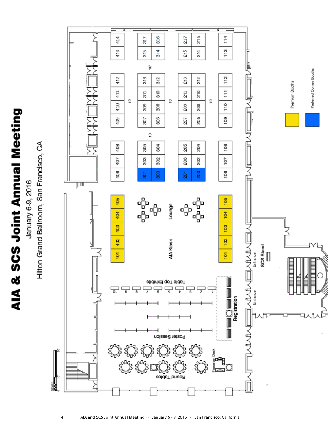# AIA & SCS Joint Annual Meeting

January 6-9, 2016

Hilton Grand Ballroom, San Francisco, CA

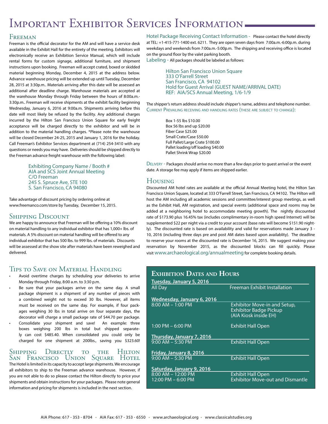# IMPORTANT EXHIBITOR SERVICES INFORMATION-

#### Freeman

Freeman is the official decorator for the AM and will have a service desk available in the Exhibit Hall for the entirety of the meeting. Exhibitors will electronically receive an Exhibition Service Manual, which will include rental forms for custom signage, additional furniture, and shipment instructions upon booking. Freeman will accept crated, boxed or skidded material beginning Monday, December 4, 2015 at the address below. Advance warehouse pricing will be extended up until Tuesday, December 28, 2015 at 3:30p.m.. Materials arriving after this date will be assessed an additional after deadline charge. Warehouse materials are accepted at the warehouse Monday through Friday between the hours of 8:00a.m.- 3:30p.m.. Freeman will receive shipments at the exhibit facility beginning Wednesday, January 6, 2016 at 9:00a.m. Shipments arriving before this date will most likely be refused by the facility. Any additional charges incurred by the Hilton San Francisco Union Square for early freight acceptance will be charged directly to the exhibitor and will be in addition to the material handling charges. \*Please note the warehouse will be closed December 24-25, 2015 and January 1, 2016 for the holiday. Call Freeman's Exhibitor Services department at (714) 254-3410 with any questions or needs you may have. Deliveries should be shipped directly to the Freeman advance freight warehouse with the following label:

> Exhibiting Company Name / Booth # AIA and SCS Joint Annual Meeting C/O Freeman 245 S. Spruce Ave, STE 100 S. San Francisco, CA 94080

Take advantage of discount pricing by ordering online at www.freemanco.com/store by Tuesday, December 15, 2015.

#### Shipping Discount

We are happy to announce that Freeman will be offering a 10% discount on material handling to any individual exhibitor that has 1,000+ lbs. of materials. A 5% discount on material handling will be offered to any individual exhibitor that has 500 lbs. to 999 lbs. of materials. Discounts will be assessed at the show site after materials have been reweighed and delivered.

#### Tips to Save on Material Handling

- Avoid overtime charges by scheduling your deliveries to arrive Monday through Friday, 8:00 a.m. to 3:30 p.m.
- Be sure that your packages arrive on the same day. A small package shipment is a shipment of any number of pieces with a combined weight not to exceed 30 lbs. However, all items must be received on the same day. For example, if four packages weighing 30 lbs in total arrive on four separate days, the decorator will charge a small package rate of \$44.70 per package.
- Consolidate your shipment and save! An example: three boxes weighing 200 lbs in total but shipped separately can cost \$485.40. When consolidated you could only be charged for one shipment at 200lbs., saving you \$323.60!

#### SHIPPING DIRECTLY TO THE HILTON San Francisco Union Square Hotel

The Hotel is limited in its capacity to accept large shipments. We encourage all exhibitors to ship to the Freeman advance warehouse. However, if you are not able to do so please contact the Hilton directly to price your shipments and obtain instructions for your packages. Please note general information and pricing for shipments is included in the next section.

Hotel Package Receiving Contact Information - Please contact the hotel directly at TEL: +1-415-771-1400 ext. 6211. They are open seven days from 7:00a.m.-6:00p.m. during weekdays and weekends from 7:00a.m.-5:00p.m. The shipping and receiving office is located on the ground floor by the valet parking booth.

Labeling - All packages should be labeled as follows:

Hilton San Francisco Union Square 333 O'Farrell Street San Francisco, CA 94102 Hold for Guest Arrival (GUEST NAME/ARRIVAL DATE) REF: AIA/SCS Annual Meeting, 1/6-1/9

The shipper's return address should include shipper's name, address and telephone number. Current Prevailing receiving and handling rates (these are subject to change):

> Box 1-55 lbs \$10.00 Box 56 lbs and up \$20.00 Fiber Case \$25.00 Small Crate/Case \$50.00 Full Pallet/Large Crate \$100.00 Pallet loading/off loading \$40.00 Pallet Shrink Wrap \$20.00

Delivery - Packages should arrive no more than a few days prior to guest arrival or the event date. A storage fee may apply if items are shipped earlier.

#### Housing

Discounted AM hotel rates are available at the official Annual Meeting hotel, the Hilton San Francisco Union Square, located at 333 O'Farrell Street, San Francisco, CA 94102. The Hilton will host the AM including all academic sessions and committee/interest group meetings, as well as the Exhibit Hall, AM registration, and special events (additional space and rooms may be added at a neighboring hotel to accommodate meeting growth). The nightly discounted rate of \$173.90 plus 16.45% tax (includes complimentary in-room high speed Internet) will be supplemented \$22 per night via a credit to your account (base rate will become \$151.90 nightly). The discounted rate is based on availability and valid for reservations made January 3 - 10, 2016 (including three days pre and post AM dates based upon availablity). The deadline to reserve your rooms at the discounted rate is December 16, 2015. We suggest making your reservation by November 2015, as the discounted blocks can fill quickly. Please visit www.archaeological.org/annualmeeting for complete booking details.

| <b>EXHIBITION DATES AND HOURS</b> |                                                                                        |
|-----------------------------------|----------------------------------------------------------------------------------------|
| Tuesday, January 5, 2016          |                                                                                        |
| All Day                           | <b>Freeman Exhibit Installation</b>                                                    |
| Wednesday, January 6, 2016        |                                                                                        |
| $8:00$ AM $- 1:00$ PM             | Exhibitor Move-in and Setup,<br><b>Exhibitor Badge Pickup</b><br>(AIA Kiosk inside EH) |
| $1:00$ PM $-6:00$ PM              | <b>Exhibit Hall Open</b>                                                               |
| Thursday, January 7, 2016         |                                                                                        |
| $9:00$ AM $-$ 5:30 PM             | <b>Exhibit Hall Open</b>                                                               |
| Friday, January 8, 2016           |                                                                                        |
| $9:00$ AM $-5:30$ PM              | <b>Exhibit Hall Open</b>                                                               |
| Saturday, January 9, 2016         |                                                                                        |
| $8:00$ AM $-12:00$ PM             | <b>Exhibit Hall Open</b>                                                               |
| 12:00 PM – 6:00 PM                | <b>Exhibitor Move-out and Dismantle</b>                                                |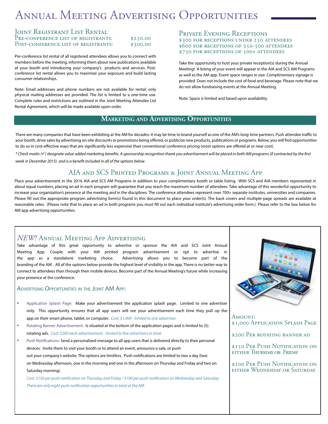# Annual Meeting Advertising Opportunities

#### Joint Registrant List Rental

| PRE-CONFERENCE LIST OF REGISTRANTS:  | \$250.00 |
|--------------------------------------|----------|
| POST-CONFERENCE LIST OF REGISTRANTS: | \$300.00 |

Pre-conference list rental of all registered attendees allows you to connect with members before the meeting, informing them about new publications available at your booth and introducing your company's products and services. Postconference list rental allows you to maximize your exposure and build lasting consumer relationships.

Note: Email addresses and phone numbers are not available for rental; only physical mailing addresses are provided. The list is limited to a one-time use. Complete rules and restrictions are outlined in the Joint Meeting Attendee List Rental Agreement, which will be made available upon order.

#### PRIVATE EVENING RECEPTIONS

\$300 FOR RECEPTIONS UNDER 250 ATTENDEES \$600 for receptions of 250-500 attendees \$750 for receptions of 500+ attendees

Take the opportunity to host your private reception(s) during the Annual Meeting! A listing of your event will appear in the AIA and SCS AM Programs as well as the AM app. Event space ranges in size. Complimentary signage is provided. Does not include the cost of food and beverage. Please note that we do not allow fundraising events at the Annual Meeting.

Note: Space is limited and based upon availability.

#### **Marketing and Advertising Opportunities**

There are many companies that have been exhibiting at the AM for decades: it may be time to brand yourself as one of the AM's long-time partners. Push attendee traffic to your booth, drive sales by advertising on-site discounts or promotions being offered, or publicize new products, publications or programs. Below, you will find opportunities to do so in cost-effective ways that are significantly less expensive than conventional conference pricing (most options are offered at or near cost).

*\* Check marks () designate value added marketing benefits. A sponsorship recognition thank you advertisement will be placed in both AM programs (if contracted by the first week in December 2015) and is a benefit included in all of the options below.*

#### AIA and SCS Printed Programs & Joint Annual Meeting App

Place your advertisement in the 2016 AIA and SCS AM Programs in addition to your complimentary booth or table listing. With SCS and AIA members represented in about equal numbers, placing an ad in each program will guarantee that you reach the maximum number of attendees. Take advantage of this wonderful opportunity to increase your organization's presence at the meeting and in the disciplines. The conference attendees represent over 700+ separate institutes, universities and companies. Please fill out the appropriate program advertising form(s) found in this document to place your order(s). The back covers and multiple-page spreads are available at reasonable rates. (Please note that to place an ad in both programs you must fill out each individual institute's advertising order form.) Please refer to the box below for AM app advertising opportunities.

#### *NEW!* Annual Meeting App Advertising

Take advantage of this great opportunity to advertise or sponsor the AIA and SCS Joint Annual Meeting App. Couple with your AM printed program advertisement or opt to advertise in the app as a standalone marketing choice. Advertising allows you to become part of the branding of the AM . All of the options below provide the highest level of visibility in the app. There is no better way to connect to attendees than through their mobile devices. Become part of the Annual Meeting's future while increasing your presence at the conference.

#### Advertising Opportunities in the Joint AM App:

- Application Splash Page: Make your advertisement the application splash page. Limited to one advertiser only. This opportunity ensures that all app users will see your advertisement each time they pull up the app on their smart phone, tablet, or computer. *Cost: \$1,000 - limited to one advertiser.*
- Rotating Banner Advertisement: Is situated at the bottom of the application pages and is limited to (5). rotating ads. *Cost: \$200 each advertisement - limited to five advertisers in total.*
- Push Notifications: Send a personalized message to all app users that is delivered directly to their personal devices. Invite them to visit your booth or to attend an event, announce a sale, or push out your company's website. The options are limitless. Push notifications are limited to two a day (two on Wednesday afternoon, one in the morning and one in the afternoon on Thursday and Friday and two on Saturday morning).

*Cost: \$150 per push notification on Thursday and Friday / \$100 per push notification on Wednesday and Saturday. There are only eight push notification opportunities in total at the AM.*



AMOUNT: \$1,000 Application Splash Page

\$200 PER ROTATING BANNER AD

\$150 PER PUSH NOTIFICATION ON either Thursday or Friday

\$100 Per Push Notification on either Wednesday or Saturday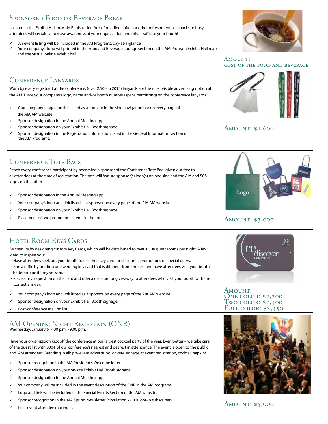| <b>SPONSORED FOOD OR BEVERAGE BREAK</b><br>Located in the Exhibit Hall or Main Registration Area. Providing coffee or other refreshments or snacks to busy<br>attendees will certainly increase awareness of your organization and drive traffic to your booth!<br>An event listing will be included in the AM Programs, day-at-a-glance.<br>✓<br>Your company's logo will printed in the Food and Beverage Lounge section on the AM Program Exhibit Hall map<br>and the virtual online exhibit hall.                                                                                                                                            | AMOUNT:<br>COST OF THE FOOD AND BEVERAGE                                           |
|--------------------------------------------------------------------------------------------------------------------------------------------------------------------------------------------------------------------------------------------------------------------------------------------------------------------------------------------------------------------------------------------------------------------------------------------------------------------------------------------------------------------------------------------------------------------------------------------------------------------------------------------------|------------------------------------------------------------------------------------|
| <b>CONFERENCE LANYARDS</b><br>Worn by every registrant at the conference, (over 2,500 in 2015) lanyards are the most visible advertising option at<br>the AM. Place your company's logo, name and/or booth number (space permitting) on the conference lanyards.<br>Your company's logo and link listed as a sponsor in the side navigation bar on every page of<br>✓<br>the AIA AM website.<br>Sponsor designation in the Annual Meeting app.<br>✓<br>Sponsor designation on your Exhibit Hall Booth signage.<br>✓<br>Sponsor designation in the Registration Information listed in the General Information section of<br>✓<br>the AM Programs. | <b>AMOUNT: \$1,600</b>                                                             |
| <b>CONFERENCE TOTE BAGS</b><br>Reach every conference participant by becoming a sponsor of the Conference Tote Bag, given out free to<br>all attendees at the time of registration. The tote will feature sponsor(s) logo(s) on one side and the AIA and SCS<br>logos on the other.<br>Sponsor designation in the Annual Meeting app.<br>✓<br>Your company's logo and link listed as a sponsor on every page of the AIA AM website.<br>✓<br>Sponsor designation on your Exhibit Hall Booth signage.<br>Placement of two promotional items in the tote.<br>✓                                                                                      | Logo<br><b>AMOUNT: \$3,000</b>                                                     |
| <b>HOTEL ROOM KEYS CARDS</b><br>Be creative by designing custom Key Cards, which will be distributed to over 1,300 guest rooms per night. A few                                                                                                                                                                                                                                                                                                                                                                                                                                                                                                  |                                                                                    |
| ideas to inspire you:<br>• Have attendees seek out your booth to use their key card for discounts, promotions or special offers.<br>• Run a raffle by printing one winning key card that is different from the rest and have attendees visit your booth<br>to determine if they've won.<br>• Place a trivia question on the card and offer a discount or give-away to attendees who visit your booth with the<br>correct answer.<br>Your company's logo and link listed as a sponsor on every page of the AIA AM website.<br>✓<br>Sponsor designation on your Exhibit Hall Booth signage.<br>✓<br>Post-conference mailing list.<br>✓             | AMOUNT:<br><b>ONE COLOR: \$2,200</b><br>Two color: \$2,400<br>FULL COLOR: $$3,350$ |

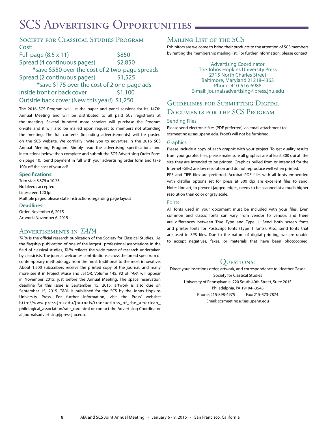# SCS ADVERTISING OPPORTUNITIES.

#### SOCIETY FOR CLASSICAL STUDIES PROGRAM Cost:

| Full page $(8.5 \times 11)$                       | \$850   |
|---------------------------------------------------|---------|
| Spread (4 continuous pages)                       | \$2,850 |
| *save \$550 over the cost of 2 two-page spreads   |         |
| Spread (2 continuous pages)                       | \$1,525 |
| *save \$175 over the cost of 2 one-page ads       |         |
| Inside front or back cover                        | \$1,100 |
| $Q_{i}$ , taide headcoscor (Nauthiaussal), 61.350 |         |

#### Outside back cover (New this year!) \$1,250

The 2016 SCS Program will list the paper and panel sessions for its 147th Annual Meeting and will be distributed to all paid SCS registrants at the meeting. Several hundred more scholars will purchase the Program on-site and it will also be mailed upon request to members not attending the meeting. The full contents (including advertisements) will be posted on the SCS website. We cordially invite you to advertise in the 2016 SCS Annual Meeting Program. Simply read the advertising specifications and instructions below; then complete and submit the SCS Advertising Order Form on page 10. Send payment in full with your advertising order form and take 10% off the cost of your ad!

#### **Specifications:**

Trim size: 8.375 x 10.75 No bleeds accepted Linescreen 120 lpi Multiple pages: please state instructions regarding page layout

**Deadlines:**

Order: November 6, 2015 Artwork: November 6, 2015

#### Advertisements in *TAPA*

*TAPA* is the official research publication of the Society for Classical Studies. As the flagship publication of one of the largest professional associations in the field of classical studies, *TAPA* reflects the wide range of research undertaken by classicists. The journal welcomes contributions across the broad spectrum of contemporary methodology from the most traditional to the most innovative. About 1,500 subscribers receive the printed copy of the journal, and many more see it in Project Muse and JSTOR. Volume 145, #2 of *TAPA* will appear in November 2015, just before the Annual Meeting. The space reservation deadline for this issue is September 15, 2015; artwork is also due on September 15, 2015. *TAPA* is published for the SCS by the Johns Hopkins University Press. For further information, visit the Press' website: http://www.press.jhu.edu/journals/transactions\_of\_the\_american\_ philological\_association/rate\_card.html or contact the Advertising Coordinator at journalsadvertising@press.jhu.edu.

#### Mailing List of the SCS

Exhibitors are welcome to bring their products to the attention of SCS members by renting the membership mailing list. For further information, please contact:

> Advertising Coordinator The Johns Hopkins University Press 2715 North Charles Street Baltimore, Maryland 21218-4363 Phone: 410-516-6988 E-mail: journalsadvertising@press.jhu.edu

#### Guidelines for Submitting Digital Documents for the SCS Program

#### Sending Files

Please send electronic files (PDF preferred) via email attachment to: scsmeetings@sas.upenn.edu. Proofs will not be furnished.

#### **Graphics**

Please include a copy of each graphic with your project. To get quality results from your graphic files, please make sure all graphics are at least 300 dpi at the size they are intended to be printed. Graphics pulled from or intended for the Internet (GIFs) are low resolution and do not reproduce well when printed. EPS and TIFF files are preferred. Acrobat PDF files with all fonts embedded

with distiller options set for press at 300 dpi are excellent files to send. Note: Line art, to prevent jagged edges, needs to be scanned at a much higher resolution than color or gray scale.

#### Fonts

All fonts used in your document must be included with your files. Even common and classic fonts can vary from vendor to vendor, and there are differences between True Type and Type 1. Send both screen fonts and printer fonts for Postscript fonts (Type 1 fonts). Also, send fonts that are used in EPS files. Due to the nature of digital printing, we are unable to accept negatives, faxes, or materials that have been photocopied.

#### QUESTIONS?

Direct your insertions order, artwork, and correspondence to: Heather Gasda Society for Classical Studies University of Pennsylvania, 220 South 40th Street, Suite 201E Philadelphia, PA 19104--3543 Phone: 215-898-4975 Fax: 215-573-7874 Email: scsmeetings@sas.upenn.edu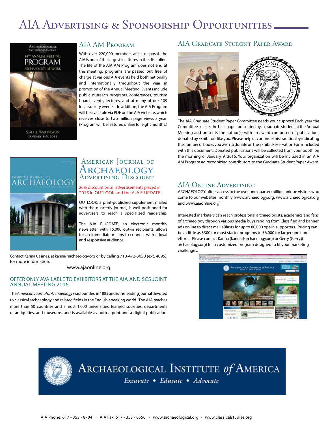# AIA Advertising & Sponsorship Opportunities



SEATTLE, WASHINGTON JANUARY 3-6, 2013

#### AIA AM Program

With over 220,000 members at its disposal, the AIA is one of the largest institutes in the discipline. The life of the AIA AM Program does not end at the meeting: programs are passed out free of charge at various AIA events held both nationally and internationally throughout the year in promotion of the Annual Meeting. Events include public outreach programs, conferences, tourism board events, lectures, and at many of our 109 local society events. In addition, the AIA Program will be available via PDF on the AIA website, which receives close to two million page views a year. (Program will be featured online for eight months.)

#### AIA Graduate Student Paper Award



The AIA Graduate Student Paper Committee needs your support! Each year the Committee selects the best paper presented by a graduate student at the Annual Meeting and presents the author(s) with an award comprised of publications donated by Exhibitors like you. Please help us continue this tradition by indicating the number of books you wish to donate on the Exhibit Reservation Form included with this document. Donated publications will be collected from your booth on the morning of January 9, 2016. Your organization will be included in an AIA AM Program ad recognizing contributors to the Graduate Student Paper Award.



#### American Journal of ARCHAEOLOGY ADVERTISING DISCOUNT

#### 20% discount on all advertisements placed in 2015 in OUTLOOK and the AJA E-UPDATE.

OUTLOOK, a print-published supplement mailed with the quarterly journal, is well positioned for advertisers to reach a specialized readership.

The AJA E-UPDATE, an electronic monthly newsletter with 15,000 opt-in recipients, allows for an immediate means to connect with a loyal and responsive audience.

Contact Karina Casines, at karina@archaeology.org or by calling 718-472-3050 (ext. 4095), for more information.

#### www.ajaonline.org

#### OFFER ONLY AVAILABLE TO EXHIBITORS AT THE AIA AND SCS JOINT ANNUAL MEETING 2016

The *American Journal of Archaeology* was founded in 1885 and is the leading journal devoted to classical archaeology and related fields in the English-speaking world. The AJA reaches more than 50 countries and almost 1,000 universities, learned societies, departments of antiquities, and museums, and is available as both a print and a digital publication.

#### AIA Online Advertising

ARCHAEOLOGY offers access to the over one quarter million unique visitors who come to our websites monthly (www.archaeology.org, www.archaeological.org and www.ajaonline.org) .

Interested marketers can reach professional archaeologists, academics and fans of archaeology through various media buys ranging from Classified and Banner ads online to direct mail eBlasts for up to 80,000 opt-in supporters. Pricing can be as little as \$300 for most starter programs to \$6,000 for larger one time efforts. Please contact Karina (karina@archaeology.org) or Gerry (Gerry@ archaeology.org) for a customized program designed to fit your marketing challenges.





# ARCHAEOLOGICAL INSTITUTE of AMERICA

Excavate • Educate • Advocate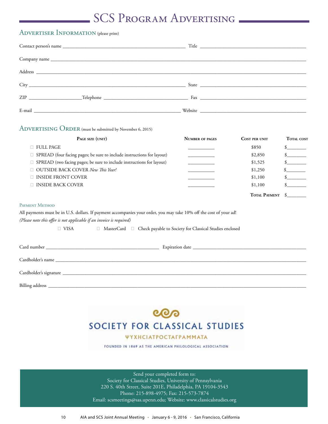# SCS PROGRAM ADVERTISING

#### ADVERTISER INFORMATION (please print)

| Title |
|-------|
|       |
|       |
|       |
|       |
|       |

#### ADVERTISING ORDER (must be submitted by November 6, 2015)

| PAGE SIZE (UNIT)                                                         | <b>NUMBER OF PAGES</b> | <b>COST PER UNIT</b> | <b>TOTAL COST</b> |
|--------------------------------------------------------------------------|------------------------|----------------------|-------------------|
| $\Box$ FULL PAGE                                                         |                        | \$850                |                   |
| □ SPREAD (four facing pages; be sure to include instructions for layout) |                        | \$2,850              |                   |
| □ SPREAD (two facing pages; be sure to include instructions for layout)  |                        | \$1,525              |                   |
| □ OUTSIDE BACK COVER New This Year!                                      |                        | \$1,250              |                   |
| $\Box$ INSIDE FRONT COVER                                                |                        | \$1,100              |                   |
| $\Box$ INSIDE BACK COVER                                                 |                        | \$1,100              |                   |
|                                                                          |                        | TOTAL PAYMENT        |                   |

#### Payment Method

All payments must be in U.S. dollars. If payment accompanies your order, you may take 10% off the cost of your ad! *(Please note this offer is not applicable if an invoice is required)*

❑ VISA ❑ MasterCard ❑ Check payable to Society for Classical Studies enclosed

### ೲ SOCIETY FOR CLASSICAL STUDIES

#### ΨΥΧΗΣΙΑΤΡΟΣΤΑΓΡΑΜΜΑΤΑ

FOUNDED IN 1869 AS THE AMERICAN PHILOLOGICAL ASSOCIATION.

Send your completed form to: Society for Classical Studies, University of Pennsylvania 220 S. 40th Street, Suite 201E, Philadelphia, PA 19104-3543 Phone: 215-898-4975; Fax: 215-573-7874 Email: scsmeetings@sas.upenn.edu; Website: www.classicalstudies.org

10 AIA and SCS Joint Annual Meeting • January 6 - 9, 2016 • San Francisco, California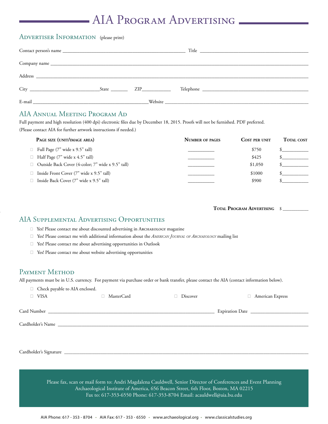# AIA Program Advertising

#### ADVERTISER INFORMATION (please print)

|                                                                                                                                                                                                                                | $State$ $ZIP$ | Telephone Telephone                                                                                                                                                                                                                  |
|--------------------------------------------------------------------------------------------------------------------------------------------------------------------------------------------------------------------------------|---------------|--------------------------------------------------------------------------------------------------------------------------------------------------------------------------------------------------------------------------------------|
| E-mail and the contract of the contract of the contract of the contract of the contract of the contract of the contract of the contract of the contract of the contract of the contract of the contract of the contract of the |               | Website <u>and the second second second second second second second second second second second second second second second second second second second second second second second second second second second second second se</u> |

#### AIA Annual Meeting Program Ad

Full payment and high resolution (400 dpi) electronic files due by December 18, 2015. Proofs will not be furnished. PDF preferred. (Please contact AIA for further artwork instructions if needed.)

| <b>TOTAL COST</b><br><b>COST PER UNIT</b> |  |
|-------------------------------------------|--|
| \$750                                     |  |
| \$425                                     |  |
| \$1,050                                   |  |
| \$1000                                    |  |
| \$900                                     |  |
|                                           |  |

| <b>TOTAL PROGRAM ADVERTISING</b> |  |
|----------------------------------|--|
|----------------------------------|--|

#### AIA Supplemental Advertising Opportunities

□ Yes! Please contact me about discounted advertising in АвснаеоLOGY magazine

- ❑ Yes! Please contact me with additional information about the *American Journal of Archaeology* mailing list
- □ Yes! Please contact me about advertising opportunities in Outlook
- ❑ Yes! Please contact me about website advertising opportunities

#### PAYMENT METHOD

All payments must be in U.S. currency. For payment via purchase order or bank transfer, please contact the AIA (contact information below).

|                       | □ Check payable to AIA enclosed. |                                                                                                                |          |                            |  |
|-----------------------|----------------------------------|----------------------------------------------------------------------------------------------------------------|----------|----------------------------|--|
| <b>VISA</b><br>$\Box$ |                                  | □ MasterCard                                                                                                   | Discover | American Express<br>$\Box$ |  |
|                       |                                  |                                                                                                                |          |                            |  |
|                       |                                  |                                                                                                                |          |                            |  |
|                       |                                  |                                                                                                                |          |                            |  |
|                       |                                  |                                                                                                                |          |                            |  |
|                       |                                  |                                                                                                                |          |                            |  |
|                       |                                  |                                                                                                                |          |                            |  |
|                       |                                  | Cardholder's Signature                                                                                         |          |                            |  |
|                       |                                  |                                                                                                                |          |                            |  |
|                       |                                  |                                                                                                                |          |                            |  |
|                       |                                  | Please fax, scan or mail form to: Andri Magdalena Cauldwell, Senior Director of Conferences and Event Planning |          |                            |  |

Archaeological Institute of America, 656 Beacon Street, 6th Floor, Boston, MA 02215 Fax to: 617-353-6550 Phone: 617-353-8704 Email: acauldwell@aia.bu.edu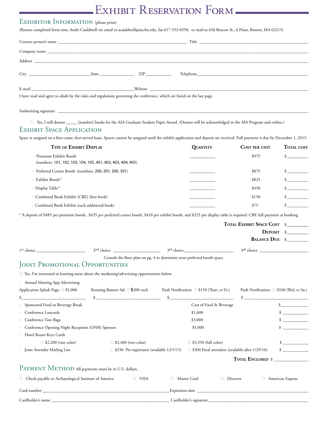# EXHIBIT RESERVATION FORM

#### EXHIBITOR INFORMATION (please print)

(Return completed form attn: Andri Cauldwell via email to acauldwell@aia.bu.edu, fax 617-353-6550, or mail to 656 Beacon St., 6 Floor, Boston, MA 02215)

|                                                                                                                                                                                                                                                                              |                                                             | (Figure completed form attn: Finally Cauldwent Fia chian to acadidwell@ala.out.cda) has 01/ 377 0770) or man to 070 Deacon 0ti) 0 Floor) Doston, HHT 02217/                       |                      |                             |
|------------------------------------------------------------------------------------------------------------------------------------------------------------------------------------------------------------------------------------------------------------------------------|-------------------------------------------------------------|-----------------------------------------------------------------------------------------------------------------------------------------------------------------------------------|----------------------|-----------------------------|
|                                                                                                                                                                                                                                                                              |                                                             |                                                                                                                                                                                   |                      |                             |
|                                                                                                                                                                                                                                                                              |                                                             |                                                                                                                                                                                   |                      |                             |
|                                                                                                                                                                                                                                                                              |                                                             |                                                                                                                                                                                   |                      |                             |
|                                                                                                                                                                                                                                                                              |                                                             |                                                                                                                                                                                   |                      |                             |
|                                                                                                                                                                                                                                                                              |                                                             |                                                                                                                                                                                   |                      |                             |
| I have read and agree to abide by the rules and regulations governing the conference, which are listed on the last page.                                                                                                                                                     |                                                             |                                                                                                                                                                                   |                      |                             |
| Authorizing signature entertainment and the contract of the contract of the contract of the contract of the contract of the contract of the contract of the contract of the contract of the contract of the contract of the co<br>$\Box$<br><b>EXHIBIT SPACE APPLICATION</b> |                                                             | Yes, I will donate ______ [number] books for the AIA Graduate Student Paper Award. (Donors will be acknowledged in the AIA Program and online.)                                   |                      |                             |
|                                                                                                                                                                                                                                                                              |                                                             | Space is assigned on a first-come, first-served basis. Spaces cannot be assigned until the exhibit application and deposit are received. Full payment is due by December 1, 2015. |                      |                             |
|                                                                                                                                                                                                                                                                              | <b>TYPE OF EXHIBIT DISPLAY</b>                              | QUANTITY                                                                                                                                                                          | <b>COST PER UNIT</b> | <b>TOTAL COST</b>           |
| · Premium Exhibit Booth                                                                                                                                                                                                                                                      | (numbers: 101, 102, 103, 104, 105, 401, 402, 403, 404, 405) |                                                                                                                                                                                   | \$975                | $\frac{1}{2}$               |
|                                                                                                                                                                                                                                                                              | Preferred Corner Booth (numbers: 200, 201, 300, 301)        |                                                                                                                                                                                   | \$875                | $\frac{\text{S}}{\text{S}}$ |
| Exhibit Booth*                                                                                                                                                                                                                                                               |                                                             |                                                                                                                                                                                   | \$825                | $\mathcal{S}$               |
|                                                                                                                                                                                                                                                                              |                                                             |                                                                                                                                                                                   |                      |                             |

. Display Table\* \$450 \$ . Combined Book Exhibit (CBE) (first book) \_\_\_\_\_\_\_\_\_\_\_\_ \$150 \$\_\_\_\_\_\_\_\_\_\_

. Combined Book Exhibit (each additional book) \_\_\_\_\_\_\_\_\_\_\_\_ \$75 \$\_\_\_\_\_\_\_\_\_\_

\* A deposit of \$485 per premium booth, \$435 per preferred corner booth, \$410 per exhibit booth, and \$225 per display table is required. CBE full payment at booking.

|                                                                       |                                                                                             |                                                                          | <b>TOTAL EXHIBIT SPACE COST</b>                        | \$                                                 |  |
|-----------------------------------------------------------------------|---------------------------------------------------------------------------------------------|--------------------------------------------------------------------------|--------------------------------------------------------|----------------------------------------------------|--|
|                                                                       |                                                                                             |                                                                          |                                                        | <b>DEPOSIT</b>                                     |  |
|                                                                       |                                                                                             |                                                                          |                                                        | <b>BALANCE DUE</b> \$                              |  |
| 1 <sup>st</sup> choice                                                |                                                                                             |                                                                          |                                                        | $4th$ choice $\qquad \qquad$                       |  |
|                                                                       |                                                                                             | Consult the floor plan on pg. 4 to determine your preferred booth space. |                                                        |                                                    |  |
| JOINT PROMOTIONAL OPPORTUNITIES                                       |                                                                                             |                                                                          |                                                        |                                                    |  |
|                                                                       | □ Yes, I'm interested in learning more about the marketing/advertising opportunities below. |                                                                          |                                                        |                                                    |  |
| · Annual Meeting App Advertising                                      |                                                                                             |                                                                          |                                                        |                                                    |  |
| Application Splash Page: □ \$1,000                                    | Rotating Banner Ad: □ \$200 each                                                            | Push Notification: □ \$150 (Thurs. or Fri.)                              |                                                        | Push Notification: □ \$100 (Wed. or Sat.)          |  |
| the control of the control of the control of the                      | $\frac{1}{2}$                                                                               | $\mathbf{s}$                                                             |                                                        | $\mathcal{S}$<br><b>Contract Contract Contract</b> |  |
| Sponsored Food or Beverage Break                                      |                                                                                             |                                                                          | Cost of Food & Beverage                                |                                                    |  |
| · Conference Lanyards                                                 |                                                                                             | \$1,600                                                                  |                                                        | $\sim$ 100 $\mu$ m $^{-1}$                         |  |
| · Conference Tote Bags                                                |                                                                                             | \$3,000                                                                  |                                                        |                                                    |  |
| · Conference Opening Night Reception (ONR) Sponsor                    |                                                                                             | \$5,000                                                                  |                                                        |                                                    |  |
| · Hotel Room Keys Cards                                               |                                                                                             |                                                                          |                                                        |                                                    |  |
| $\Box$ \$2,200 (one color)                                            | $\Box$ \$2,400 (two color)                                                                  | $\Box$ \$3,350 (full color)                                              |                                                        |                                                    |  |
| · Joint Attendee Mailing List:                                        | $\Box$ \$250 Pre-registrants (available 12/1/15)                                            |                                                                          | $\Box$ \$300 Final attendees (available after 1/29/16) |                                                    |  |
|                                                                       |                                                                                             |                                                                          | <b>TOTAL ENCLOSED \$</b>                               |                                                    |  |
| PAYMENT METHOD All payments must be in U.S. dollars.                  |                                                                                             |                                                                          |                                                        |                                                    |  |
| □ Check payable to Archaeological Institute of America<br>$\Box$ VISA |                                                                                             | Master Card                                                              | Discover                                               | □ American Express                                 |  |
|                                                                       |                                                                                             |                                                                          |                                                        |                                                    |  |
|                                                                       |                                                                                             |                                                                          |                                                        |                                                    |  |